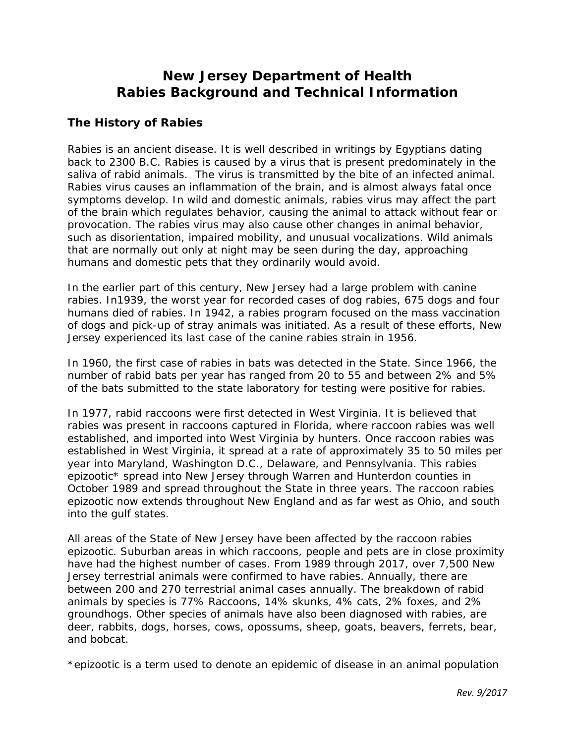# **New Jersey Department of Health Rabies Background and Technical Information**

### **The History of Rabies**

Rabies is an ancient disease. It is well described in writings by Egyptians dating back to 2300 B.C. Rabies is caused by a virus that is present predominately in the saliva of rabid animals. The virus is transmitted by the bite of an infected animal. Rabies virus causes an inflammation of the brain, and is almost always fatal once symptoms develop. In wild and domestic animals, rabies virus may affect the part of the brain which regulates behavior, causing the animal to attack without fear or provocation. The rabies virus may also cause other changes in animal behavior, such as disorientation, impaired mobility, and unusual vocalizations. Wild animals that are normally out only at night may be seen during the day, approaching humans and domestic pets that they ordinarily would avoid.

In the earlier part of this century, New Jersey had a large problem with canine rabies. In1939, the worst year for recorded cases of dog rabies, 675 dogs and four humans died of rabies. In 1942, a rabies program focused on the mass vaccination of dogs and pick-up of stray animals was initiated. As a result of these efforts, New Jersey experienced its last case of the canine rabies strain in 1956.

In 1960, the first case of rabies in bats was detected in the State. Since 1966, the number of rabid bats per year has ranged from 20 to 55 and between 2% and 5% of the bats submitted to the state laboratory for testing were positive for rabies.

In 1977, rabid raccoons were first detected in West Virginia. It is believed that rabies was present in raccoons captured in Florida, where raccoon rabies was well established, and imported into West Virginia by hunters. Once raccoon rabies was established in West Virginia, it spread at a rate of approximately 35 to 50 miles per year into Maryland, Washington D.C., Delaware, and Pennsylvania. This rabies epizootic\* spread into New Jersey through Warren and Hunterdon counties in October 1989 and spread throughout the State in three years. The raccoon rabies epizootic now extends throughout New England and as far west as Ohio, and south into the gulf states.

All areas of the State of New Jersey have been affected by the raccoon rabies epizootic. Suburban areas in which raccoons, people and pets are in close proximity have had the highest number of cases. From 1989 through 2017, over 7,500 New Jersey terrestrial animals were confirmed to have rabies. Annually, there are between 200 and 270 terrestrial animal cases annually. The breakdown of rabid animals by species is 77% Raccoons, 14% skunks, 4% cats, 2% foxes, and 2% groundhogs. Other species of animals have also been diagnosed with rabies, are deer, rabbits, dogs, horses, cows, opossums, sheep, goats, beavers, ferrets, bear, and bobcat.

\*epizootic is a term used to denote an epidemic of disease in an animal population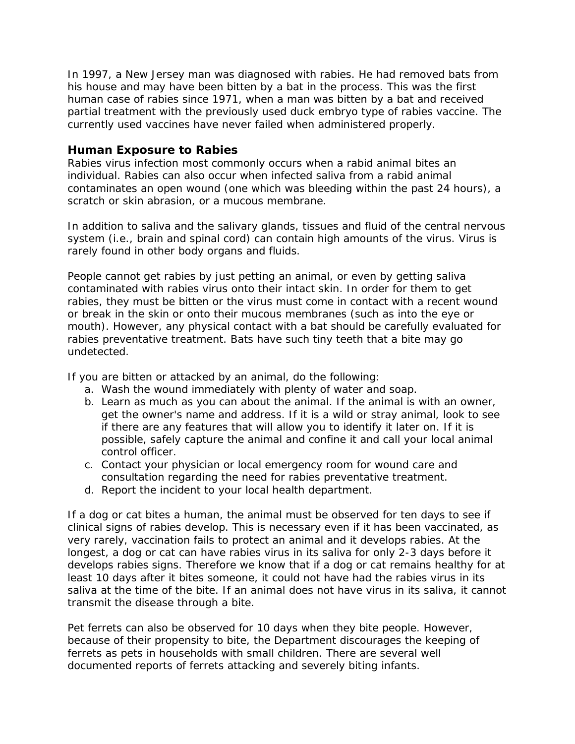In 1997, a New Jersey man was diagnosed with rabies. He had removed bats from his house and may have been bitten by a bat in the process. This was the first human case of rabies since 1971, when a man was bitten by a bat and received partial treatment with the previously used duck embryo type of rabies vaccine. The currently used vaccines have never failed when administered properly.

#### **Human Exposure to Rabies**

Rabies virus infection most commonly occurs when a rabid animal bites an individual. Rabies can also occur when infected saliva from a rabid animal contaminates an open wound (one which was bleeding within the past 24 hours), a scratch or skin abrasion, or a mucous membrane.

In addition to saliva and the salivary glands, tissues and fluid of the central nervous system (i.e., brain and spinal cord) can contain high amounts of the virus. Virus is rarely found in other body organs and fluids.

People cannot get rabies by just petting an animal, or even by getting saliva contaminated with rabies virus onto their intact skin. In order for them to get rabies, they must be bitten or the virus must come in contact with a recent wound or break in the skin or onto their mucous membranes (such as into the eye or mouth). However, any physical contact with a bat should be carefully evaluated for rabies preventative treatment. Bats have such tiny teeth that a bite may go undetected.

If you are bitten or attacked by an animal, do the following:

- a. Wash the wound immediately with plenty of water and soap.
- b. Learn as much as you can about the animal. If the animal is with an owner, get the owner's name and address. If it is a wild or stray animal, look to see if there are any features that will allow you to identify it later on. If it is possible, safely capture the animal and confine it and call your local animal control officer.
- c. Contact your physician or local emergency room for wound care and consultation regarding the need for rabies preventative treatment.
- d. Report the incident to your local health department.

If a dog or cat bites a human, the animal must be observed for ten days to see if clinical signs of rabies develop. This is necessary even if it has been vaccinated, as very rarely, vaccination fails to protect an animal and it develops rabies. At the longest, a dog or cat can have rabies virus in its saliva for only 2-3 days before it develops rabies signs. Therefore we know that if a dog or cat remains healthy for at least 10 days after it bites someone, it could not have had the rabies virus in its saliva at the time of the bite. If an animal does not have virus in its saliva, it cannot transmit the disease through a bite.

Pet ferrets can also be observed for 10 days when they bite people. However, because of their propensity to bite, the Department discourages the keeping of ferrets as pets in households with small children. There are several well documented reports of ferrets attacking and severely biting infants.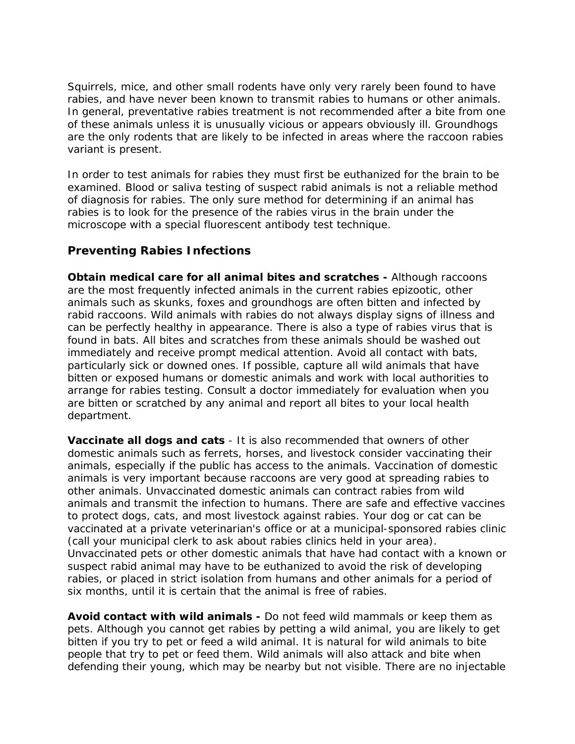Squirrels, mice, and other small rodents have only very rarely been found to have rabies, and have never been known to transmit rabies to humans or other animals. In general, preventative rabies treatment is not recommended after a bite from one of these animals unless it is unusually vicious or appears obviously ill. Groundhogs are the only rodents that are likely to be infected in areas where the raccoon rabies variant is present.

In order to test animals for rabies they must first be euthanized for the brain to be examined. Blood or saliva testing of suspect rabid animals is not a reliable method of diagnosis for rabies. The only sure method for determining if an animal has rabies is to look for the presence of the rabies virus in the brain under the microscope with a special fluorescent antibody test technique.

#### **Preventing Rabies Infections**

**Obtain medical care for all animal bites and scratches -** Although raccoons are the most frequently infected animals in the current rabies epizootic, other animals such as skunks, foxes and groundhogs are often bitten and infected by rabid raccoons. Wild animals with rabies do not always display signs of illness and can be perfectly healthy in appearance. There is also a type of rabies virus that is found in bats. All bites and scratches from these animals should be washed out immediately and receive prompt medical attention. Avoid all contact with bats, particularly sick or downed ones. If possible, capture all wild animals that have bitten or exposed humans or domestic animals and work with local authorities to arrange for rabies testing. Consult a doctor immediately for evaluation when you are bitten or scratched by any animal and report all bites to your local health department.

**Vaccinate all dogs and cats** - It is also recommended that owners of other domestic animals such as ferrets, horses, and livestock consider vaccinating their animals, especially if the public has access to the animals. Vaccination of domestic animals is very important because raccoons are very good at spreading rabies to other animals. Unvaccinated domestic animals can contract rabies from wild animals and transmit the infection to humans. There are safe and effective vaccines to protect dogs, cats, and most livestock against rabies. Your dog or cat can be vaccinated at a private veterinarian's office or at a municipal-sponsored rabies clinic (call your municipal clerk to ask about rabies clinics held in your area). Unvaccinated pets or other domestic animals that have had contact with a known or suspect rabid animal may have to be euthanized to avoid the risk of developing rabies, or placed in strict isolation from humans and other animals for a period of six months, until it is certain that the animal is free of rabies.

**Avoid contact with wild animals -** Do not feed wild mammals or keep them as pets. Although you cannot get rabies by petting a wild animal, you are likely to get bitten if you try to pet or feed a wild animal. It is natural for wild animals to bite people that try to pet or feed them. Wild animals will also attack and bite when defending their young, which may be nearby but not visible. There are no injectable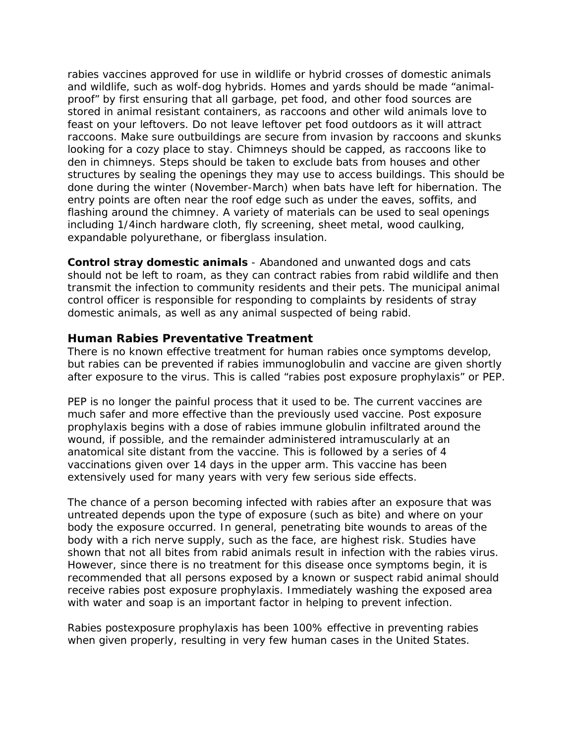rabies vaccines approved for use in wildlife or hybrid crosses of domestic animals and wildlife, such as wolf-dog hybrids. Homes and yards should be made "animalproof" by first ensuring that all garbage, pet food, and other food sources are stored in animal resistant containers, as raccoons and other wild animals love to feast on your leftovers. Do not leave leftover pet food outdoors as it will attract raccoons. Make sure outbuildings are secure from invasion by raccoons and skunks looking for a cozy place to stay. Chimneys should be capped, as raccoons like to den in chimneys. Steps should be taken to exclude bats from houses and other structures by sealing the openings they may use to access buildings. This should be done during the winter (November-March) when bats have left for hibernation. The entry points are often near the roof edge such as under the eaves, soffits, and flashing around the chimney. A variety of materials can be used to seal openings including 1/4inch hardware cloth, fly screening, sheet metal, wood caulking, expandable polyurethane, or fiberglass insulation.

**Control stray domestic animals** - Abandoned and unwanted dogs and cats should not be left to roam, as they can contract rabies from rabid wildlife and then transmit the infection to community residents and their pets. The municipal animal control officer is responsible for responding to complaints by residents of stray domestic animals, as well as any animal suspected of being rabid.

#### **Human Rabies Preventative Treatment**

There is no known effective treatment for human rabies once symptoms develop, but rabies can be prevented if rabies immunoglobulin and vaccine are given shortly after exposure to the virus. This is called "rabies post exposure prophylaxis" or PEP.

PEP is no longer the painful process that it used to be. The current vaccines are much safer and more effective than the previously used vaccine. Post exposure prophylaxis begins with a dose of rabies immune globulin infiltrated around the wound, if possible, and the remainder administered intramuscularly at an anatomical site distant from the vaccine. This is followed by a series of 4 vaccinations given over 14 days in the upper arm. This vaccine has been extensively used for many years with very few serious side effects.

The chance of a person becoming infected with rabies after an exposure that was untreated depends upon the type of exposure (such as bite) and where on your body the exposure occurred. In general, penetrating bite wounds to areas of the body with a rich nerve supply, such as the face, are highest risk. Studies have shown that not all bites from rabid animals result in infection with the rabies virus. However, since there is no treatment for this disease once symptoms begin, it is recommended that all persons exposed by a known or suspect rabid animal should receive rabies post exposure prophylaxis. Immediately washing the exposed area with water and soap is an important factor in helping to prevent infection.

Rabies postexposure prophylaxis has been 100% effective in preventing rabies when given properly, resulting in very few human cases in the United States.